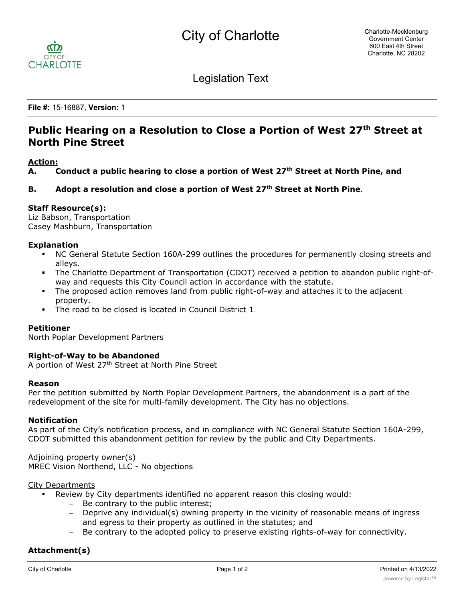

Legislation Text

**File #:** 15-16887, **Version:** 1

# Public Hearing on a Resolution to Close a Portion of West 27<sup>th</sup> Street at **North Pine Street**

## **Action:**

**A. Conduct a public hearing to close a portion of West 27th Street at North Pine, and**

## **B. Adopt a resolution and close a portion of West 27th Street at North Pine.**

## **Staff Resource(s):**

Liz Babson, Transportation Casey Mashburn, Transportation

#### **Explanation**

- § NC General Statute Section 160A-299 outlines the procedures for permanently closing streets and alleys.
- The Charlotte Department of Transportation (CDOT) received a petition to abandon public right-ofway and requests this City Council action in accordance with the statute.
- The proposed action removes land from public right-of-way and attaches it to the adjacent property.
- The road to be closed is located in Council District 1.

#### **Petitioner**

North Poplar Development Partners

## **Right-of-Way to be Abandoned**

A portion of West 27<sup>th</sup> Street at North Pine Street

#### **Reason**

Per the petition submitted by North Poplar Development Partners, the abandonment is a part of the redevelopment of the site for multi-family development. The City has no objections.

#### **Notification**

As part of the City's notification process, and in compliance with NC General Statute Section 160A-299, CDOT submitted this abandonment petition for review by the public and City Departments.

Adjoining property owner(s) MREC Vision Northend, LLC - No objections

#### City Departments

- § Review by City departments identified no apparent reason this closing would:
	- Be contrary to the public interest;
	- Deprive any individual(s) owning property in the vicinity of reasonable means of ingress and egress to their property as outlined in the statutes; and
	- Be contrary to the adopted policy to preserve existing rights-of-way for connectivity.

## **Attachment(s)**